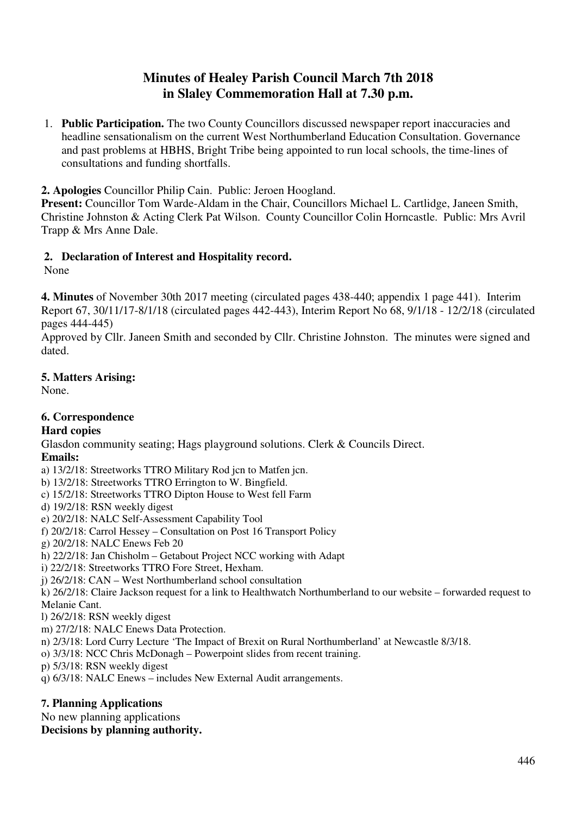# **Minutes of Healey Parish Council March 7th 2018 in Slaley Commemoration Hall at 7.30 p.m.**

1. **Public Participation.** The two County Councillors discussed newspaper report inaccuracies and headline sensationalism on the current West Northumberland Education Consultation. Governance and past problems at HBHS, Bright Tribe being appointed to run local schools, the time-lines of consultations and funding shortfalls.

**2. Apologies** Councillor Philip Cain. Public: Jeroen Hoogland.

**Present:** Councillor Tom Warde-Aldam in the Chair, Councillors Michael L. Cartlidge, Janeen Smith, Christine Johnston & Acting Clerk Pat Wilson. County Councillor Colin Horncastle. Public: Mrs Avril Trapp & Mrs Anne Dale.

## **2. Declaration of Interest and Hospitality record.**

None

**4. Minutes** of November 30th 2017 meeting (circulated pages 438-440; appendix 1 page 441). Interim Report 67, 30/11/17-8/1/18 (circulated pages 442-443), Interim Report No 68, 9/1/18 - 12/2/18 (circulated pages 444-445)

Approved by Cllr. Janeen Smith and seconded by Cllr. Christine Johnston. The minutes were signed and dated.

## **5. Matters Arising:**

None.

## **6. Correspondence**

## **Hard copies**

Glasdon community seating; Hags playground solutions. Clerk & Councils Direct.

#### **Emails:**

a) 13/2/18: Streetworks TTRO Military Rod jcn to Matfen jcn.

b) 13/2/18: Streetworks TTRO Errington to W. Bingfield.

- c) 15/2/18: Streetworks TTRO Dipton House to West fell Farm
- d) 19/2/18: RSN weekly digest
- e) 20/2/18: NALC Self-Assessment Capability Tool
- f) 20/2/18: Carrol Hessey Consultation on Post 16 Transport Policy
- g) 20/2/18: NALC Enews Feb 20
- h) 22/2/18: Jan Chisholm Getabout Project NCC working with Adapt
- i) 22/2/18: Streetworks TTRO Fore Street, Hexham.
- j) 26/2/18: CAN West Northumberland school consultation

k) 26/2/18: Claire Jackson request for a link to Healthwatch Northumberland to our website – forwarded request to Melanie Cant.

l) 26/2/18: RSN weekly digest

m) 27/2/18: NALC Enews Data Protection.

- n) 2/3/18: Lord Curry Lecture 'The Impact of Brexit on Rural Northumberland' at Newcastle 8/3/18.
- o) 3/3/18: NCC Chris McDonagh Powerpoint slides from recent training.

p) 5/3/18: RSN weekly digest

q) 6/3/18: NALC Enews – includes New External Audit arrangements.

## **7. Planning Applications**

No new planning applications

#### **Decisions by planning authority.**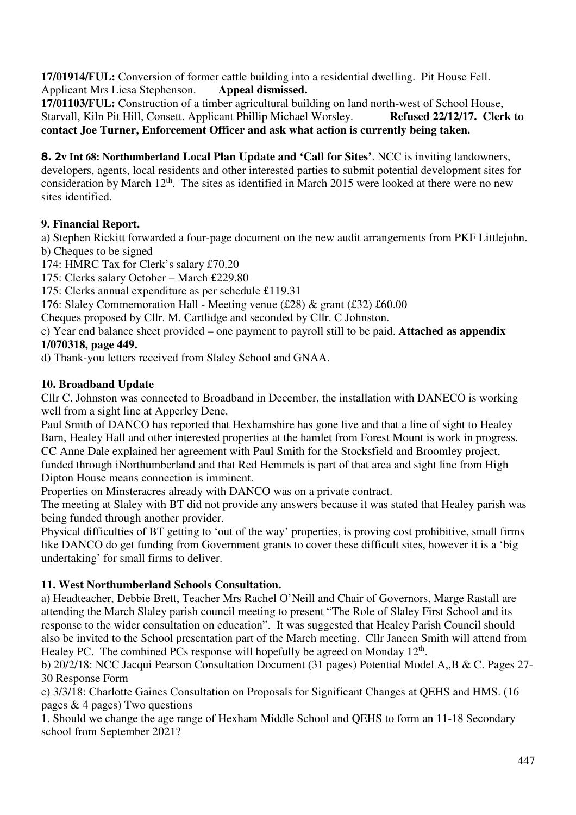**17/01914/FUL:** Conversion of former cattle building into a residential dwelling. Pit House Fell. Applicant Mrs Liesa Stephenson. **Appeal dismissed.** 

**17/01103/FUL:** Construction of a timber agricultural building on land north-west of School House, Starvall, Kiln Pit Hill, Consett. Applicant Phillip Michael Worsley. **Refused 22/12/17. Clerk to contact Joe Turner, Enforcement Officer and ask what action is currently being taken.**

**8. 2v Int 68: Northumberland Local Plan Update and 'Call for Sites'**. NCC is inviting landowners, developers, agents, local residents and other interested parties to submit potential development sites for consideration by March 12<sup>th</sup>. The sites as identified in March 2015 were looked at there were no new sites identified.

## **9. Financial Report.**

a) Stephen Rickitt forwarded a four-page document on the new audit arrangements from PKF Littlejohn. b) Cheques to be signed

174: HMRC Tax for Clerk's salary £70.20

175: Clerks salary October – March £229.80

175: Clerks annual expenditure as per schedule £119.31

176: Slaley Commemoration Hall - Meeting venue (£28) & grant (£32) £60.00

Cheques proposed by Cllr. M. Cartlidge and seconded by Cllr. C Johnston.

c) Year end balance sheet provided – one payment to payroll still to be paid. **Attached as appendix 1/070318, page 449.**

d) Thank-you letters received from Slaley School and GNAA.

## **10. Broadband Update**

Cllr C. Johnston was connected to Broadband in December, the installation with DANECO is working well from a sight line at Apperley Dene.

Paul Smith of DANCO has reported that Hexhamshire has gone live and that a line of sight to Healey Barn, Healey Hall and other interested properties at the hamlet from Forest Mount is work in progress. CC Anne Dale explained her agreement with Paul Smith for the Stocksfield and Broomley project, funded through iNorthumberland and that Red Hemmels is part of that area and sight line from High Dipton House means connection is imminent.

Properties on Minsteracres already with DANCO was on a private contract.

The meeting at Slaley with BT did not provide any answers because it was stated that Healey parish was being funded through another provider.

Physical difficulties of BT getting to 'out of the way' properties, is proving cost prohibitive, small firms like DANCO do get funding from Government grants to cover these difficult sites, however it is a 'big undertaking' for small firms to deliver.

## **11. West Northumberland Schools Consultation.**

a) Headteacher, Debbie Brett, Teacher Mrs Rachel O'Neill and Chair of Governors, Marge Rastall are attending the March Slaley parish council meeting to present "The Role of Slaley First School and its response to the wider consultation on education". It was suggested that Healey Parish Council should also be invited to the School presentation part of the March meeting. Cllr Janeen Smith will attend from Healey PC. The combined PCs response will hopefully be agreed on Monday  $12<sup>th</sup>$ .

b) 20/2/18: NCC Jacqui Pearson Consultation Document (31 pages) Potential Model A,,B & C. Pages 27- 30 Response Form

c) 3/3/18: Charlotte Gaines Consultation on Proposals for Significant Changes at QEHS and HMS. (16 pages & 4 pages) Two questions

1. Should we change the age range of Hexham Middle School and QEHS to form an 11-18 Secondary school from September 2021?